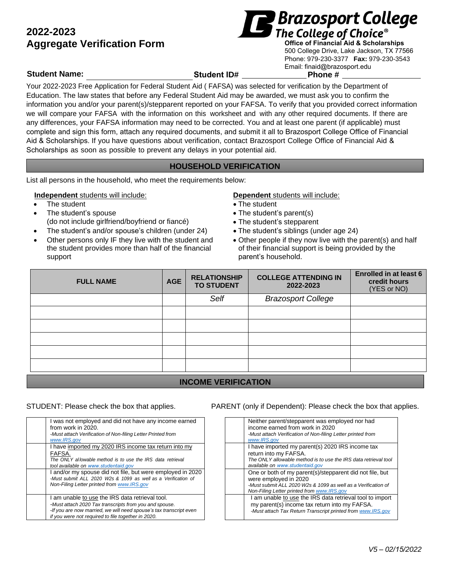# **2022-2023 Aggregate Verification Form <b>Algeria** The College of Choice<sup>®</sup><br>Aggregate Verification Form *Office of Financial Aid & Scholarships*



500 College Drive, Lake Jackson, TX 77566 Phone: 979-230-3377 **Fax:** 979-230-3543 Email: finaid@brazosport.edu

### **Student Name: Student ID# Phone #**

Your 2022-2023 Free Application for Federal Student Aid ( FAFSA) was selected for verification by the Department of Education. The law states that before any Federal Student Aid may be awarded, we must ask you to confirm the information you and/or your parent(s)/stepparent reported on your FAFSA. To verify that you provided correct information we will compare your FAFSA with the information on this worksheet and with any other required documents. If there are any differences, your FAFSA information may need to be corrected. You and at least one parent (if applicable) must complete and sign this form, attach any required documents, and submit it all to Brazosport College Office of Financial Aid & Scholarships. If you have questions about verification, contact Brazosport College Office of Financial Aid & Scholarships as soon as possible to prevent any delays in your potential aid.

# **HOUSEHOLD VERIFICATION**

List all persons in the household, who meet the requirements below:

### **Independent** students will include: **Dependent** students will include:

- 
- The student's spouse (do not include girlfriend/boyfriend or fiancé)
- The student's and/or spouse's children (under 24) The student's siblings (under age 24)
- Other persons only IF they live with the student and the student provides more than half of the financial support

- The student The student The student
	- The student's parent(s)
	- The student's stepparent
	-
	- Other people if they now live with the parent(s) and half of their financial support is being provided by the parent's household.

| Self<br><b>Brazosport College</b> |  | <b>FULL NAME</b> |
|-----------------------------------|--|------------------|
|                                   |  |                  |
|                                   |  |                  |
|                                   |  |                  |
|                                   |  |                  |
|                                   |  |                  |
|                                   |  |                  |

# **INCOME VERIFICATION**

| I was not employed and did not have any income earned<br>from work in 2020.<br>-Must attach Verification of Non-filing Letter Printed from<br>www.IRS.gov                                                                             |
|---------------------------------------------------------------------------------------------------------------------------------------------------------------------------------------------------------------------------------------|
| I have imported my 2020 IRS income tax return into my<br>FAFSA.<br>The ONLY allowable method is to use the IRS data retrieval<br>tool available on www.studentaid.gov                                                                 |
| I and/or my spouse did not file, but were employed in 2020<br>-Must submit ALL 2020 W2s & 1099 as well as a Verification of<br>Non-Filing Letter printed from www.IRS.gov                                                             |
| I am unable to use the IRS data retrieval tool.<br>-Must attach 2020 Tax transcripts from you and spouse.<br>-If you are now married, we will need spouse's tax transcript even<br>if you were not required to file together in 2020. |

### STUDENT: Please check the box that applies. PARENT (only if Dependent): Please check the box that applies.

| Neither parent/stepparent was employed nor had<br>income earned from work in 2020<br>-Must attach Verification of Non-filing Letter printed from<br>www.IRS.aov                                  |
|--------------------------------------------------------------------------------------------------------------------------------------------------------------------------------------------------|
| I have imported my parent(s) 2020 IRS income tax<br>return into my FAFSA.<br>The ONLY allowable method is to use the IRS data retrieval tool<br>available on www.studentaid.gov                  |
| One or both of my parent(s)/stepparent did not file, but<br>were employed in 2020<br>-Must submit ALL 2020 W2s & 1099 as well as a Verification of<br>Non-Filing Letter printed from www.IRS.gov |
| I am unable to use the IRS data retrieval tool to import<br>my parent(s) income tax return into my FAFSA.<br>-Must attach Tax Return Transcript printed from www.IRS.gov                         |